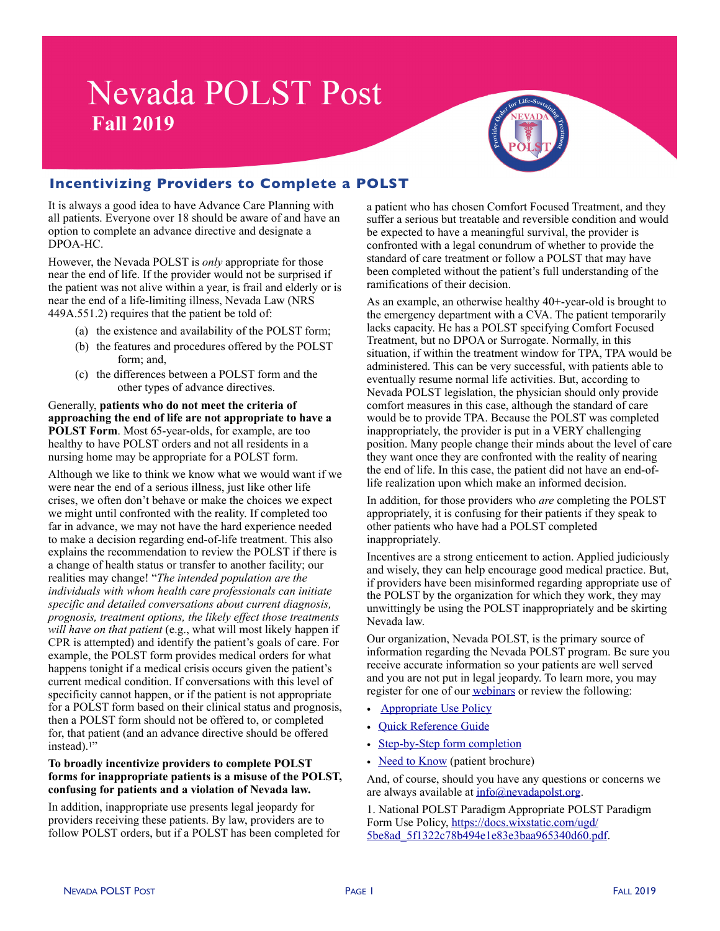# **Nevada POLST Post Fall 2019**



## **Incentivizing Providers to Complete a POLST**

It is always a good idea to have Advance Care Planning with all patients. Everyone over 18 should be aware of and have an option to complete an advance directive and designate a DPOA-HC.

However, the Nevada POLST is *only* appropriate for those near the end of life. If the provider would not be surprised if the patient was not alive within a year, is frail and elderly or is near the end of a life-limiting illness, Nevada Law (NRS 449A.551.2) requires that the patient be told of:

- (a) the existence and availability of the POLST form;
- (b) the features and procedures offered by the POLST form; and,
- (c) the differences between a POLST form and the other types of advance directives.

Generally, **patients who do not meet the criteria of approaching the end of life are not appropriate to have a POLST Form**. Most 65-year-olds, for example, are too healthy to have POLST orders and not all residents in a nursing home may be appropriate for a POLST form.

Although we like to think we know what we would want if we were near the end of a serious illness, just like other life crises, we often don't behave or make the choices we expect we might until confronted with the reality. If completed too far in advance, we may not have the hard experience needed to make a decision regarding end-of-life treatment. This also explains the recommendation to review the POLST if there is a change of health status or transfer to another facility; our realities may change! "*The intended population are the individuals with whom health care professionals can initiate specific and detailed conversations about current diagnosis, prognosis, treatment options, the likely effect those treatments will have on that patient* (e.g., what will most likely happen if CPR is attempted) and identify the patient's goals of care. For example, the POLST form provides medical orders for what happens tonight if a medical crisis occurs given the patient's current medical condition. If conversations with this level of specificity cannot happen, or if the patient is not appropriate for a POLST form based on their clinical status and prognosis, then a POLST form should not be offered to, or completed for, that patient (and an advance directive should be offered instead).<sup>1"</sup>

#### **To broadly incentivize providers to complete POLST forms for inappropriate patients is a misuse of the POLST, confusing for patients and a violation of Nevada law.**

In addition, inappropriate use presents legal jeopardy for providers receiving these patients. By law, providers are to follow POLST orders, but if a POLST has been completed for

a patient who has chosen Comfort Focused Treatment, and they suffer a serious but treatable and reversible condition and would be expected to have a meaningful survival, the provider is confronted with a legal conundrum of whether to provide the standard of care treatment or follow a POLST that may have been completed without the patient's full understanding of the ramifications of their decision.

As an example, an otherwise healthy 40+-year-old is brought to the emergency department with a CVA. The patient temporarily lacks capacity. He has a POLST specifying Comfort Focused Treatment, but no DPOA or Surrogate. Normally, in this situation, if within the treatment window for TPA, TPA would be administered. This can be very successful, with patients able to eventually resume normal life activities. But, according to Nevada POLST legislation, the physician should only provide comfort measures in this case, although the standard of care would be to provide TPA. Because the POLST was completed inappropriately, the provider is put in a VERY challenging position. Many people change their minds about the level of care they want once they are confronted with the reality of nearing the end of life. In this case, the patient did not have an end-oflife realization upon which make an informed decision.

In addition, for those providers who *are* completing the POLST appropriately, it is confusing for their patients if they speak to other patients who have had a POLST completed inappropriately.

Incentives are a strong enticement to action. Applied judiciously and wisely, they can help encourage good medical practice. But, if providers have been misinformed regarding appropriate use of the POLST by the organization for which they work, they may unwittingly be using the POLST inappropriately and be skirting Nevada law.

Our organization, Nevada POLST, is the primary source of information regarding the Nevada POLST program. Be sure you receive accurate information so your patients are well served and you are not put in legal jeopardy. To learn more, you may register for one of our [webinars](http://www.nevadapolst.org/webinar-registration) or review the following:

- [Appropriate Use Policy](https://docs.wixstatic.com/ugd/5be8ad_5f1322c78b494e1e83e3baa965340d60.pdf)
- [Quick Reference Guide](https://docs.wixstatic.com/ugd/5be8ad_26e3cb5617ff4396b00fa99c6142435d.pdf)
- [Step-by-Step form completion](https://www.nevadapolst.org/step-by-step)
- [Need to Know](https://docs.wixstatic.com/ugd/5be8ad_659eae8def3f4390ba35c98a8c2db3c7.pdf) (patient brochure)

And, of course, should you have any questions or concerns we are always available at  $info@newadapolst.org$ .

1. National POLST Paradigm Appropriate POLST Paradigm Form Use Policy, [https://docs.wixstatic.com/ugd/](https://docs.wixstatic.com/ugd/5be8ad_5f1322c78b494e1e83e3baa965340d60.pdf) [5be8ad\\_5f1322c78b494e1e83e3baa965340d60.pdf](https://docs.wixstatic.com/ugd/5be8ad_5f1322c78b494e1e83e3baa965340d60.pdf).